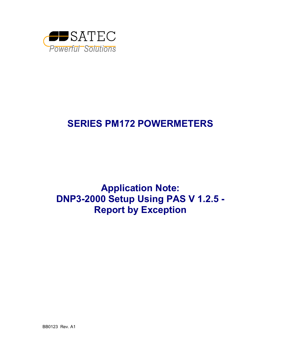

# **SERIES PM172 POWERMETERS**

**Application Note: DNP3-2000 Setup Using PAS V 1.2.5 - Report by Exception** 

BB0123 Rev. A1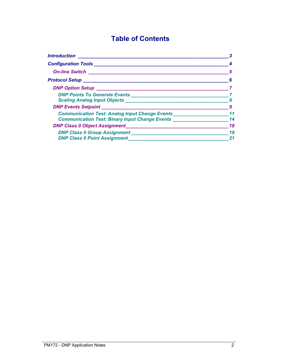# **Table of Contents**

| <b>Introduction</b>                                                                                                                                                                                                                |    |
|------------------------------------------------------------------------------------------------------------------------------------------------------------------------------------------------------------------------------------|----|
| <b>Configuration Tools</b>                                                                                                                                                                                                         |    |
| <b>On-line Switch</b>                                                                                                                                                                                                              |    |
| Protocol Setup __________________________________                                                                                                                                                                                  |    |
|                                                                                                                                                                                                                                    |    |
| DNP Points To Generate Events <b>Exercises Exercises Exercises</b>                                                                                                                                                                 |    |
| <b>Scaling Analog Input Objects</b>                                                                                                                                                                                                |    |
|                                                                                                                                                                                                                                    |    |
| <b>Communication Test: Analog Input Change Events</b>                                                                                                                                                                              |    |
| <b>Communication Test: Binary Input Change Events</b>                                                                                                                                                                              | 14 |
| <b>DNP Class 0 Object Assignment</b>                                                                                                                                                                                               | 18 |
| <b>DNP Class 0 Group Assignment State State State State State State State State State State State State State State State State State State State State State State State State State State State State State State State Stat</b> | 19 |
| <b>DNP Class 0 Point Assignment</b>                                                                                                                                                                                                | 21 |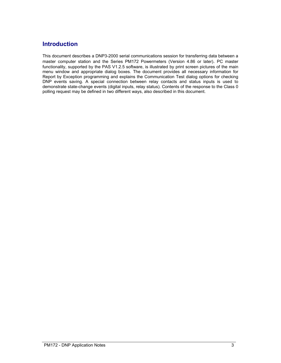## <span id="page-2-0"></span>**Introduction**

This document describes a DNP3-2000 serial communications session for transferring data between a master computer station and the Series PM172 Powermeters (Version 4.86 or later). PC master functionality, supported by the PAS V1.2.5 software, is illustrated by print screen pictures of the main menu window and appropriate dialog boxes. The document provides all necessary information for Report by Exception programming and explains the Communication Test dialog options for checking DNP events saving. A special connection between relay contacts and status inputs is used to demonstrate state-change events (digital inputs, relay status). Contents of the response to the Class 0 polling request may be defined in two different ways, also described in this document.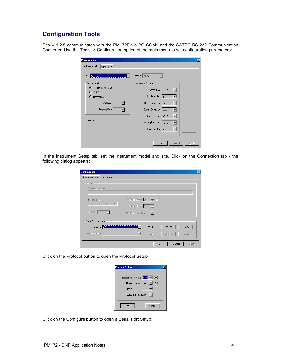# <span id="page-3-0"></span>**Configuration Tools**

Pas V 1.2.5 communicates with the PM172E via PC COM1 and the SATEC RS-232 Communication Converter. Use the Tools -> Configuration option of the main menu to set configuration parameters:

| Instrument Setup   Connection            |                                                            |
|------------------------------------------|------------------------------------------------------------|
| Site: PM 172                             | Model: PM172                                               |
| Communication                            | Instrument Options                                         |
| G Serial Port / Modem Site<br>C USB Port | Voltage Input: 690V<br>$\blacktriangledown$                |
| C Internet Site                          | CT Secondary: 5A                                           |
| Address: 1<br>÷                          | 14 CT Secondary: 5A                                        |
| Sampling Rate: 1<br>÷                    | Current Overrange: 20%<br>$\blacktriangledown$             |
|                                          | Analog Output: NONE<br>$\vert \textbf{v} \vert$            |
| Comment:                                 | Analog Expander: NONE                                      |
|                                          | Memory Module: NONE<br>$\vert \cdot \vert$<br><b>Sites</b> |
|                                          |                                                            |

In the Instrument Setup tab, set the instrument model and site. Click on the Connection tab - the following dialog appears:

| <b>Contract State</b>   |                                                                                     |         |
|-------------------------|-------------------------------------------------------------------------------------|---------|
|                         |                                                                                     |         |
|                         |                                                                                     |         |
|                         |                                                                                     |         |
| Configure               | Protocol                                                                            | Remote  |
|                         |                                                                                     | Hangup  |
|                         |                                                                                     |         |
| $\overline{\mathbf{v}}$ | Wait for answer: 30 - [sec]<br>Retries [15]: 1<br>Protocol: SATEC ASCII V<br>Phones | Connect |

Click on the Protocol button to open the Protocol Setup:

| <b>Protocol Setup</b>            |  |
|----------------------------------|--|
|                                  |  |
| Response Time-out: 2000<br>[ms]  |  |
| 吾<br>Break Time-out: 100<br>[ms] |  |
| Retries [ 15 ]: 1<br>÷           |  |
| Protocol: DNP3-2000              |  |
| Cancel<br>OK                     |  |

Click on the Configure button to open a Serial Port Setup: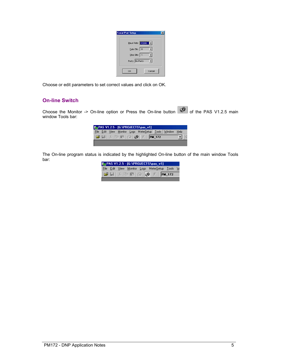| <b>Serial Port Setup</b> |  |
|--------------------------|--|
|                          |  |
| Baud Rate: 19200 -       |  |
| Data Bits: 8             |  |
| Stop Bits: 1             |  |
| Parity: No Parity        |  |
|                          |  |
| OK<br>Cancel             |  |

<span id="page-4-0"></span>Choose or edit parameters to set correct values and click on OK.

#### **On-line Switch**

Choose the Monitor -> On-line option or Press the On-line button  $\mathbb{R}^{\mathbb{Z}^{\mathbb{Z}}}$  of the PAS V1.2.5 main window Tools bar:

| <b>Big PAS V1.2.5 - [G: \PROJECTS\pas_v1]</b> |  |  |  |  |                                                                              |  |  |  |
|-----------------------------------------------|--|--|--|--|------------------------------------------------------------------------------|--|--|--|
|                                               |  |  |  |  | File Edit View Monitor Logs MeterSetup Tools Window Help                     |  |  |  |
|                                               |  |  |  |  | $\mathfrak{S} \boxdot  $ % is be $ \mathfrak{B} $ of $ \mathfrak{B} $ pm_172 |  |  |  |
|                                               |  |  |  |  |                                                                              |  |  |  |

The On-line program status is indicated by the highlighted On-line button of the main window Tools bar:

| <b>Box PAS V1.2.5 - [G:\PROJECTS\pas_v1]</b> |  |  |                                                                                                                                                                                           |  |  |  |  |  |
|----------------------------------------------|--|--|-------------------------------------------------------------------------------------------------------------------------------------------------------------------------------------------|--|--|--|--|--|
|                                              |  |  | File Edit View Monitor Logs MeterSetup Tools W                                                                                                                                            |  |  |  |  |  |
|                                              |  |  | $ \boldsymbol{\beta} $ . If $ \lambda $ is a $ \boldsymbol{\beta} $ $ \boldsymbol{\beta} $ of $ \boldsymbol{\beta} $ $ \boldsymbol{\beta} $ $ \boldsymbol{\beta} $ $ \boldsymbol{\beta} $ |  |  |  |  |  |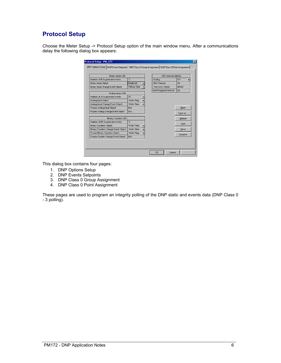# <span id="page-5-0"></span>**Protocol Setup**

Choose the Meter Setup -> Protocol Setup option of the main window menu. After a communications delay the following dialog box appears:

| Binary Inputs (BI)                  |               | <b>DNP General Options</b> |             |
|-------------------------------------|---------------|----------------------------|-------------|
| Number of BI to generate events     | $\Omega$      | Scaling                    | Off         |
| <b>Binary Input Object</b>          | Single-bit    | SBO Timeout                | 10          |
| Binary Input Change Event Object    | Without Time  | <b>Time Sync Period</b>    | 86400       |
|                                     |               | Multi Fragment Interval    | 50          |
| Analog Inputs (AI)                  |               |                            |             |
| Number of Al to generate events     | 32            |                            |             |
| Analog Input Object                 | 16-bit -Flaq  |                            |             |
| Analog Input Change Event Object    | 16-bit - Time |                            |             |
| Frozen Analog Input Object          | N/A           |                            | <b>Open</b> |
| Frozen Analog Change Event Object   | N/A           |                            | Save as     |
| Binary Counters (BC)                |               |                            | Default     |
| Number of BC to generate events     | $\theta$      |                            |             |
| <b>Binary Counters Object</b>       | 16-bit -Flag  |                            | Print       |
| Binary Counters Change Event Object | 16-bit - Time |                            | Send        |
| Frozen Binary Counters Object       | 16-bit - Flag |                            |             |
| Frozen Counter Change Event Object  | N/A           |                            | Receive     |

This dialog box contains four pages:

- 1. DNP Options Setup
- 2. DNP Events Setpoints
- 3. DNP Class 0 Group Assignment
- 4. DNP Class 0 Point Assignment

These pages are used to program an integrity polling of the DNP static and events data (DNP Class 0 - 3 polling).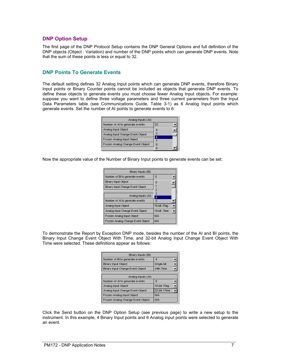#### <span id="page-6-0"></span>**DNP Option Setup**

The first page of the DNP Protocol Setup contains the DNP General Options and full definition of the DNP objects (Object : Variation) and number of the DNP points which can generate DNP events. Note that the sum of these points is less or equal to 32.

### **DNP Points To Generate Events**

The default setting defines 32 Analog Input points which can generate DNP events, therefore Binary Input points or Binary Counter points cannot be included as objects that generate DNP events. To define these objects to generate events you must choose fewer Analog Input objects. For example: suppose you want to define three voltage parameters and three current parameters from the Input Data Parameters table (see Communications Guide, Table 3-1) as 6 Analog Input points which generate events. Set the number of AI points to generate events to 6:

| Analog Inputs (AI)                |    |
|-----------------------------------|----|
| Number of Al to generate events   | 32 |
| Analog Input Object               | А  |
| Analog Input Change Event Object  |    |
| Frozen Analog Input Object        |    |
| Frozen Analog Change Event Object | 8  |
|                                   |    |

Now the appropriate value of the Number of Binary Input points to generate events can be set:

| Binary Inputs (BI)                  |               |
|-------------------------------------|---------------|
| Number of BI to generate events     | ٥             |
| <b>Binary Input Object</b>          | 0             |
| Binary Input Change Event Object    |               |
|                                     | 2             |
| Analog Inputs (AI)                  | 3<br>4        |
| Number of AI to generate events     | 5             |
| Analog Input Object                 | 16-bit -Flag  |
| Analog Input Change Event Object    | 16-bit - Time |
| Frozen Analog Input Object          | N/A           |
| l Frozen Analog Change Event Object | N/A           |

To demonstrate the Report by Exception DNP mode, besides the number of the AI and BI points, the Binary Input Change Event Object With Time, and 32-bit Analog Input Change Event Object With Time were selected. These definitions appear as follows:

| Binary Inputs (BI)                |              |
|-----------------------------------|--------------|
| Number of BI to generate events   |              |
| <b>Binary Input Object</b>        | Single-bit   |
| Binary Input Change Event Object  | With Time    |
|                                   |              |
| Analog Inputs (AI)                |              |
| Number of Al to generate events   | 6            |
| Analog Input Object               | 16-bit -Flag |
| Analog Input Change Event Object  | 32-bit +Time |
| Frozen Analog Input Object        | N/A          |
| Frozen Analog Change Event Object | N/A          |
|                                   |              |

Click the Send button on the DNP Option Setup (see previous page) to write a new setup to the instrument. In this example, 4 Binary Input points and 6 Analog input points were selected to generate an event.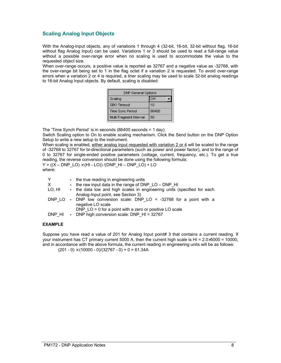### <span id="page-7-0"></span>**Scaling Analog Input Objects**

With the Analog-Input objects, any of variations 1 through 4 (32-bit, 16-bit, 32-bit without flag, 16-bit without flag Analog Input) can be used. Variations 1 or 3 should be used to read a full-range value without a possible over-range error when no scaling is used to accommodate the value to the requested object size.

When over-range occurs, a positive value is reported as 32767 and a negative value as -32768, with the over-range bit being set to 1 in the flag octet if a variation 2 is requested. To avoid over-range errors when a variation 2 or 4 is required, a liner scaling may be used to scale 32-bit analog readings to 16-bit Analog Input objects. By default, scaling is disabled:

| DNP General Options     |       |  |  |  |
|-------------------------|-------|--|--|--|
| Scaling                 | Off   |  |  |  |
| SBO Timeout             | 10    |  |  |  |
| Time Sync Period        | 86400 |  |  |  |
| Multi Fragment Interval | 50    |  |  |  |

The 'Time Synch Period' is in seconds (86400 seconds = 1 day).

Switch Scaling option to On to enable scaling mechanism. Click the Send button on the DNP Option Setup to write a new setup to the instrument.

When scaling is enabled, either analog input requested with variation 2 or 4 will be scaled to the range of -32768 to 32767 for bi-directional parameters (such as power and power factor), and to the range of 0 to 32767 for single-ended positive parameters (voltage, current, frequency, etc.). To get a true reading, the reverse conversion should be done using the following formula:  $Y = ((X - DNP\_LO) \times (HI - LO)) / (DNP_HI - DNP\_LO) + LO$ 

where:

| Y<br>X.<br>LO. HI | - the true reading in engineering units<br>- the raw input data in the range of DNP $LO - DNP$ HI<br>- the data low and high scales in engineering units (specified for each<br>Analog-Input point, see Section 3) |
|-------------------|--------------------------------------------------------------------------------------------------------------------------------------------------------------------------------------------------------------------|
|                   | DNP LO - DNP low conversion scale: DNP LO = $-32768$ for a point with a<br>negative LO scale<br>DNP $LO = 0$ for a point with a zero or positive LO scale                                                          |
| DNP HI            | - DNP high conversion scale: DNP HI = 32767                                                                                                                                                                        |

#### **EXAMPLE**

Suppose you have read a value of 201 for Analog Input point# 3 that contains a current reading. If your instrument has CT primary current 5000 A, then the current high scale is HI = 2.0×5000 = 10000, and in accordance with the above formula, the current reading in engineering units will be as follows:

 $(201 - 0) \times (10000 - 0)/(32767 - 0) + 0 = 61.34A$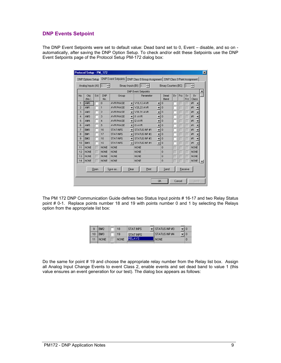### <span id="page-8-0"></span>**DNP Events Setpoint**

The DNP Event Setpoints were set to default value: Dead band set to 0, Event – disable, and so on automatically, after saving the DNP Option Setup. To check and/or edit these Setpoints use the DNP Event Setpoints page of the Protocol Setup PM-172 dialog box:

|                                              | DNP Options Setup |                                                               |                   |                  |                          | DNP Event Setpoints   DNP Class 0 Group Assignment   DNP Class 0 Point Assignment |                          |                |           |        |           |                                |  |
|----------------------------------------------|-------------------|---------------------------------------------------------------|-------------------|------------------|--------------------------|-----------------------------------------------------------------------------------|--------------------------|----------------|-----------|--------|-----------|--------------------------------|--|
| Analog Inputs (AI) 6<br>Binary Inputs (BI) 4 |                   |                                                               |                   |                  |                          |                                                                                   | Binary Counters (BC)     |                |           |        |           |                                |  |
| <b>DNP Event Setpoints</b>                   |                   |                                                               |                   |                  |                          |                                                                                   |                          |                |           |        |           |                                |  |
| No.                                          | Obj<br>(No.).     | Ext                                                           | <b>DNP</b><br>No. | Group            |                          | Parameter                                                                         |                          | Dead<br>Band   | <b>Ev</b> | Frz    | Ev<br>Frz | Ev<br>Class                    |  |
| $\mathbf{1}$                                 | A#0               |                                                               | $\mathbf{0}$      | <b>AVR PHASE</b> | $\overline{\phantom{a}}$ | V1/L12 AVR                                                                        | $\overline{\phantom{a}}$ | $\overline{0}$ |           |        |           | #1                             |  |
| $\overline{2}$                               | $A$ $#1$          |                                                               | 1                 | <b>AVR PHASE</b> | $\overline{\phantom{a}}$ | V2/L23 AVR                                                                        | $\overline{\mathbf{v}}$  | 0              |           |        |           | #1                             |  |
| 3                                            | AI#2              |                                                               | $\overline{2}$    | <b>AVR PHASE</b> | $\overline{\phantom{a}}$ | V3/L31 AVR                                                                        | ▼                        | $\overline{0}$ |           |        |           | #1                             |  |
| 4                                            | A#3               |                                                               | 3                 | <b>AVR PHASE</b> | $\overline{\phantom{a}}$ | I1 AVR                                                                            | $\overline{\phantom{a}}$ | $\mathbf 0$    |           |        |           | #1                             |  |
| 5                                            | A#4               |                                                               | $\overline{4}$    | <b>AVR PHASE</b> | ▼                        | I2 AVR                                                                            | $\overline{\phantom{a}}$ | 0              |           |        |           | #1                             |  |
| 6                                            | AI#5              |                                                               | 5                 | <b>AVR PHASE</b> | $\overline{\phantom{a}}$ | 13 AVR                                                                            | $\overline{\phantom{a}}$ | $\overline{0}$ |           |        |           | #1                             |  |
| $\overline{7}$                               | <b>BI#0</b>       |                                                               | 16                | <b>STATINPS</b>  | ▼                        | STATUS INP #1                                                                     | $\overline{\phantom{a}}$ | $\theta$       |           |        |           | #1<br>$\overline{\phantom{a}}$ |  |
| 8                                            | <b>BI#1</b>       |                                                               | 17                | <b>STATINPS</b>  | $\overline{\phantom{a}}$ | STATUS INP #2                                                                     | $\blacksquare$           | 0              |           |        |           | #1                             |  |
| 9                                            | BI#2              |                                                               | 18                | <b>STATINPS</b>  | $\overline{\phantom{a}}$ | STATUS INP #3                                                                     | $\overline{\phantom{a}}$ | 0              |           |        |           | #1                             |  |
| 10                                           | <b>BI#3</b>       | $\mathbf{v}$ 0<br>STATUS INP #4<br>19<br><b>STATINPS</b><br>▼ |                   |                  |                          |                                                                                   | #1                       |                |           |        |           |                                |  |
| 11                                           | <b>NONE</b>       |                                                               | <b>NONE</b>       | <b>NONE</b>      |                          | <b>NONE</b>                                                                       |                          | n              |           |        |           | <b>NONE</b>                    |  |
| 12                                           | <b>NONE</b>       |                                                               | <b>NONE</b>       | <b>NONE</b>      |                          | <b>NONE</b>                                                                       |                          | Ō              |           |        |           | <b>NONE</b>                    |  |
| 13                                           | <b>NONE</b>       |                                                               | <b>NONE</b>       | <b>NONE</b>      |                          | <b>NONE</b>                                                                       |                          | Ō              |           |        |           | <b>NONE</b>                    |  |
| 14                                           | <b>NONE</b>       |                                                               | <b>NONE</b>       | <b>NONE</b>      |                          | <b>NONE</b>                                                                       |                          | 0              |           |        |           | <b>NONE</b>                    |  |
|                                              |                   | Open                                                          |                   | Save as          | Clear                    | Print                                                                             |                          | Send           |           |        | Receive   |                                |  |
|                                              |                   |                                                               |                   |                  |                          |                                                                                   | <b>OK</b>                |                |           | Cancel |           | Apply                          |  |

The PM 172 DNP Communication Guide defines two Status Input points # 16-17 and two Relay Status point # 0-1. Replace points number 18 and 19 with points number 0 and 1 by selecting the Relays option from the appropriate list box:

| H#2         | 18          | <b>STATINPS</b> | I STATUS INP #3       |  |
|-------------|-------------|-----------------|-----------------------|--|
| <b>BI#3</b> | 19          | STAT INPS       | <b>ISTATUS INP #4</b> |  |
| <b>NONE</b> | <b>NONE</b> | BRELA VIS       | <b>NONE</b>           |  |
|             |             |                 |                       |  |

Do the same for point # 19 and choose the appropriate relay number from the Relay list box. Assign all Analog Input Change Events to event Class 2, enable events and set dead band to value 1 (this value ensures an event generation for our test). The dialog box appears as follows: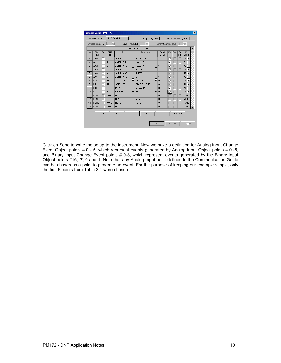|                | DNP Options Setup  |      |                   |                      |                          | DNP Event Setpoints   DNP Class 0 Group Assignment   DNP Class 0 Point Assignment |                          |                             |    |     |                  |             |   |  |
|----------------|--------------------|------|-------------------|----------------------|--------------------------|-----------------------------------------------------------------------------------|--------------------------|-----------------------------|----|-----|------------------|-------------|---|--|
|                | Analog Inputs (AI) |      | 16                | Binary Inputs (BI) 4 |                          |                                                                                   |                          | <b>Binary Counters (BC)</b> |    |     | U                | <b>TIME</b> |   |  |
|                |                    |      |                   |                      |                          | <b>DNP Event Setpoints</b>                                                        |                          |                             |    |     |                  |             |   |  |
| No.            | Obi<br>(No.).      | Ext  | <b>DNP</b><br>No. | Group                |                          | Parameter                                                                         |                          | Dead<br>Band                | Ev | Frz | Ev<br><b>Frz</b> | Ev<br>Class |   |  |
| 1              | AI#0               |      | $\theta$          | AVR PHASE            | $\overline{\phantom{a}}$ | <b>V1/L12 AVR</b>                                                                 | $\mathbf{v}$ 1           |                             | ⊽  |     |                  | #2          |   |  |
| $\overline{2}$ | AI#1               |      | 1                 | <b>AVR PHASE</b>     | ▼                        | <b>V2/L23 AVR</b>                                                                 | $\overline{\phantom{a}}$ | l 1                         | ⊽  |     |                  | #2          |   |  |
| 3              | AI#2               |      | 2                 | AVR PHASE            | ▼                        | V3/L31 AVR                                                                        | ¥                        | 1                           | ⊽  |     |                  | #2          |   |  |
| 4              | A #3               |      | 3                 | <b>AVR PHASE</b>     | ▼                        | I1 AVR                                                                            | $\overline{\phantom{a}}$ | 11                          | ⊽  |     |                  | #2          |   |  |
| 5              | A#4                |      | 4                 | AVR PHASE            | ▼                        | I2 AVR                                                                            | ¥                        | l 1                         | ▽  |     |                  | #2          |   |  |
| 6              | A1#5               |      | 5                 | <b>AVR PHASE</b>     | ▼                        | 13 AVR                                                                            | $\blacktriangledown$     | 11                          | ⊽  |     |                  | #2          |   |  |
| $\overline{7}$ | <b>BI#0</b>        |      | 16                | <b>STATINPS</b>      | $\overline{\mathbf{v}}$  | STATUS INP #1                                                                     | $\overline{\phantom{a}}$ | $\theta$                    | ▽  |     |                  | #1          |   |  |
| 8              | <b>BI#1</b>        |      | 17                | <b>STATINPS</b>      | ٠                        | STATUS INP #2                                                                     | $\overline{\phantom{a}}$ | 0                           | ⊽  |     |                  | #1          |   |  |
| $\overline{9}$ | BI#2               |      | $\Omega$          | <b>RELAYS</b>        | $\overline{\phantom{a}}$ | RELAY #1                                                                          | $\overline{\phantom{a}}$ | $\overline{0}$              | ⊽  |     |                  | #1          |   |  |
| 10             | <b>BI#3</b>        |      | 1                 | <b>RELAYS</b>        | ▼                        | RELAY #2                                                                          | $\mathbf{v}$ 0           |                             | ⊽  |     |                  | #1          | ۰ |  |
| 11             | <b>NONE</b>        |      | <b>NONE</b>       | <b>NONE</b>          |                          | <b>NONE</b>                                                                       |                          | 0                           |    |     |                  | <b>NONE</b> |   |  |
| 12             | <b>NONE</b>        |      | <b>NONE</b>       | <b>NONE</b>          |                          | <b>NONE</b>                                                                       |                          | $\Omega$                    |    |     |                  | <b>NONE</b> |   |  |
| 13             | <b>NONE</b>        |      | <b>NONE</b>       | <b>NONE</b>          |                          | <b>NONE</b>                                                                       |                          | n                           |    |     |                  | <b>NONE</b> |   |  |
| 14             | <b>NONE</b>        |      | <b>NONE</b>       | <b>NONE</b>          |                          | <b>NONE</b>                                                                       |                          | $\Omega$                    |    |     |                  | <b>NONE</b> |   |  |
|                |                    | Open |                   | Save as              | Clear                    | Print                                                                             |                          | Send                        |    |     | Receive          |             |   |  |

Click on Send to write the setup to the instrument. Now we have a definition for Analog Input Change Event Object points # 0 - 5, which represent events generated by Analog Input Object points # 0 -5, and Binary Input Change Event points # 0-3, which represent events generated by the Binary Input Object points #16,17, 0 and 1. Note that any Analog Input point defined in the Communication Guide can be chosen as a point to generate an event. For the purpose of keeping our example simple, only the first 6 points from Table 3-1 were chosen.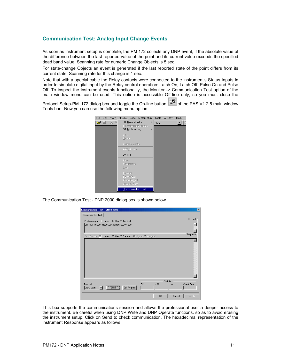### <span id="page-10-0"></span>**Communication Test: Analog Input Change Events**

As soon as instrument setup is complete, the PM 172 collects any DNP event, if the absolute value of the difference between the last reported value of the point and its current value exceeds the specified dead band value. Scanning rate for numeric Change Objects is 5 sec.

For state-change Objects an event is generated if the last reported state of the point differs from its current state. Scanning rate for this change is 1 sec.

Note that with a special cable the Relay contacts were connected to the instrument's Status Inputs in order to simulate digital input by the Relay control operation: Latch On, Latch Off, Pulse On and Pulse Off. To inspect the instrument events functionality, the Monitor -> Communication Test option of the main window menu can be used. This option is accessible Off-line only, so you must close the

Protocol Setup-PM\_172 dialog box and toggle the On-line button  $\mathbb{Q}$  of the PAS V1.2.5 main window Tools bar. Now you can use the following menu option:



The Communication Test - DNP 2000 dialog box is shown below.

|                                                                                     |      |                                           |     |      |                   | Request      |
|-------------------------------------------------------------------------------------|------|-------------------------------------------|-----|------|-------------------|--------------|
| Continuous poll   View: € Hex C Decimal<br>05640DC401000104639CC0C0011E04000101ED84 |      |                                           |     |      |                   |              |
|                                                                                     |      |                                           |     |      |                   |              |
|                                                                                     |      |                                           |     |      |                   |              |
| Send Confirm $\Box$                                                                 |      | View: C Hex C Decimal C Signed C Unsigned |     |      |                   | Response     |
|                                                                                     |      |                                           |     |      |                   |              |
|                                                                                     |      |                                           |     |      |                   |              |
|                                                                                     |      |                                           |     |      |                   |              |
|                                                                                     |      |                                           |     |      |                   |              |
|                                                                                     |      |                                           |     |      |                   |              |
|                                                                                     |      |                                           |     |      |                   |              |
|                                                                                     |      |                                           |     |      |                   |              |
|                                                                                     |      |                                           |     |      |                   |              |
|                                                                                     |      |                                           |     |      |                   |              |
|                                                                                     |      |                                           |     |      | <b>Statistics</b> |              |
|                                                                                     |      |                                           | OK: | N/R: | NAK:              | Check Error: |
| Protocol:<br>DNP3-2000                                                              | Send | Edit Request                              |     |      |                   |              |

This box supports the communications session and allows the professional user a deeper access to the instrument. Be careful when using DNP Write and DNP Operate functions, so as to avoid erasing the instrument setup. Click on Send to check communication. The hexadecimal representation of the instrument Response appears as follows: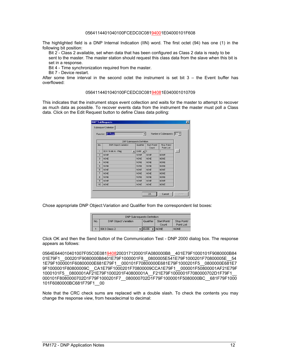#### 0564114401040100FCEDC0C08194001E04000101F608

The highlighted field is a DNP Internal Indication (IIN) word. The first octet (94) has one (1) in the following bit position:

Bit 2 - Class 2 available, set when data that has been configured as Class 2 data is ready to be sent to the master. The master station should request this class data from the slave when this bit is set in a response.

Bit 4 - Time synchronization required from the master.

Bit 7 - Device restart.

After some time interval in the second octet the instrument is set bit  $3 -$  the Event buffer has overflowed:

#### 0564114401040100FCEDC0C08194081E040001010709

This indicates that the instrument stops event collection and waits for the master to attempt to recover as much data as possible. To recover events data from the instrument the master must poll a Class data. Click on the Edit Request button to define Class data polling:

|                | Function: 01 Read     |         | $\blacktriangledown$                  |                       | Number of Subrequests: 1  |        |
|----------------|-----------------------|---------|---------------------------------------|-----------------------|---------------------------|--------|
|                |                       |         | <b>DNP Subrequests Definition</b>     |                       |                           |        |
| No.            | DNP Object: Variation |         | Qualifier                             | Start Point/<br>Count | Stop Point/<br>Point List |        |
| 1              | 30:4 16-bit Al - Flag | $\vert$ | $0 \times 00$ $\blacktriangleright$ 1 |                       | 1                         | $\sim$ |
| $\overline{2}$ | <b>NONE</b>           |         | <b>NONE</b>                           | <b>NONE</b>           | <b>NONE</b>               |        |
| 3              | <b>NONE</b>           |         | <b>NONE</b>                           | <b>NONE</b>           | <b>NONE</b>               |        |
| 4              | <b>NONE</b>           |         | <b>NONE</b>                           | <b>NONE</b>           | <b>NONE</b>               |        |
| 5              | <b>NONE</b>           |         | <b>NONE</b>                           | <b>NONE</b>           | <b>NONE</b>               |        |
| ĥ.             | <b>NONE</b>           |         | <b>NONE</b>                           | <b>NONE</b>           | <b>NONE</b>               |        |
| 7              | <b>NONE</b>           |         | <b>NONE</b>                           | <b>NONE</b>           | <b>NONE</b>               |        |
| 8              | <b>NONE</b>           |         | <b>NONE</b>                           | <b>NONE</b>           | <b>NONE</b>               |        |
| 9              | <b>NONE</b>           |         | <b>NONE</b>                           | <b>NONE</b>           | <b>NONE</b>               |        |
| 10             | <b>NONE</b>           |         | <b>NONE</b>                           | <b>NONE</b>           | <b>NONE</b>               |        |
|                |                       |         |                                       |                       |                           |        |

Chose appropriate DNP Object:Variation and Qualifier from the correspondent list boxes:

|       | DNP Subrequests Definition |                                 |                            |                           |
|-------|----------------------------|---------------------------------|----------------------------|---------------------------|
| I No. | DNP Object: Variation      | Qualifier                       | Start Point/<br>Count      | Stop Point/<br>Point List |
|       | 60:3 Class 2               | $\overline{\phantom{0}}$   0x06 | $\blacktriangleright$ NONE | <b>NONE</b>               |

Click OK and then the Send button of the Communication Test - DNP 2000 dialog box. The response appears as follows:

0564E644010401007F05C0E0819408200317120001FA080000B8\_401E79F1000101F9080000B84 01E79F1\_000201F9080000B8401E79F1000001F8\_0800005E541E79F1000201F70800005E\_54 1E79F1000001F60800000E681E79F1\_\_000101F70800000E681E79F1000201F5\_\_0800000E681E7 9F1000001F80800009C\_\_CA1E79F1000201F70800009CCA1E79F1\_\_000001F50800001AF21E79F 1000101F5\_\_0800001AF21E79F1000201F40800001A\_\_F21E79F1000001F7080000702D1F79F1\_\_ 000101F8080000702D1F79F1000201F7\_\_080000702D1F79F1000001F5080000BC\_\_681F79F1000 101F6080000BC681F79F1\_\_00

Note that the CRC check sums are replaced with a double slash. To check the contents you may change the response view, from hexadecimal to decimal: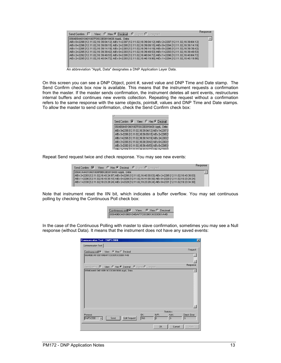| Send Confirm   View: C Hex C Decimal C Signed O Unsigned                                                        | <b>Response</b> |
|-----------------------------------------------------------------------------------------------------------------|-----------------|
| 0564E644010401007F05C0E0819408 ApplL Data:                                                                      |                 |
| AlEv:0=2298 [12.11.02.16:39:04:12] AlEv:1=2297 [12.11.02.16:39:04:12] AlEv:2=2297 [12.11.02.16:39:04:12]        |                 |
| 29:14:19] AlEv:0=2296 [12.11.02,16:39:09:15] AlEv:2=2295 [12.11.02,16:39:09:15] AlEv:0=2294 [12.11.02,16:39:14  |                 |
| AlEv:1=2295 [12.11.02,16:39:14:19] AlEv:2=2293 [12.11.02,16:39:14:19] AlEv:0=2296 [12.11.02,16:39:39:42] AlEv:1 |                 |
| 23:10.02,16:29:14.02,16:29:29:42] AlEv:0=2293 [12.11.02,16:39:49:53] AlEv:1=2293 [12.11.02,16:39:49:53] AlEv:2  |                 |
| AlEv: 2=2292 [12.11.02,16:39:49:53] AlEv: 0=2295 [12.11.02,16:40:04:72] AlEv: 1=2296 [12.11.02,16:40:04:72]     |                 |
| AlEv:2=2295 [12.11.02,16:40:04:72] AlEv:0=2293 [12.11.02,16:40:19:90] AlEv:1=2294 [12.11.02,16:40:19:90]        |                 |
|                                                                                                                 |                 |
|                                                                                                                 |                 |

An abbreviation "ApplL Data" designates a DNP Application Layer Data.

On this screen you can see a DNP Object, point #, saved value and DNP Time and Date stamp. The Send Confirm check box now is available. This means that the instrument requests a confirmation from the master. If the master sends confirmation, the instrument deletes all sent events, restructures internal buffers and continues new events collection. Repeating the request without a confirmation refers to the same response with the same objects, points#, values and DNP Time and Date stamps. To allow the master to send confirmation, check the Send Confirm check box:

| C Hex C Decimal<br>Send Confirm<br>View:          |
|---------------------------------------------------|
| 0564E644010401007F05C0E0819408 ApplL Data:        |
| AlEv:0=2298 [12.11.02,16:39:04:12] AlEv:1=2297 [1 |
| AlEv:0=2296 [12.11.02,16:39:09:15] AlEv:2=2295 [1 |
| AlEv:1=2295 [12.11.02,16:39:14:19] AlEv:2=2293 [1 |
| AlEv:2=2295 [12.11.02,16:39:39:42] AlEv:0=2293 [1 |
| AlEv:2=2292 [12.11.02,16:39:49:53] AlEv:0=2295 [1 |
|                                                   |

Repeat Send request twice and check response. You may see new events:



Note that instrument reset the IIN bit, which indicates a buffer overflow. You may set continuous polling by checking the Continuous Poll check box:



In the case of the Continuous Polling with master to slave confirmation, sometimes you may see a Null response (without Data). It means that the instrument does not have any saved events:

| <b>Communication Test - DNP3-2000</b>                                 | $\overline{\mathbf{x}}$ |
|-----------------------------------------------------------------------|-------------------------|
| Communication Test                                                    |                         |
| Continuous poll<br>View: $G$ Hex $C$ Decimal                          | Request                 |
| 05640BC401000104BAF7C0C0013C03061A4B                                  |                         |
|                                                                       |                         |
| Send Confirm $\overline{M}$ View: C Hex C Decimal C Signed C Unsigned | Response                |
| 05640A4401040100B19CC0C0819000 ApplL Data:                            |                         |
|                                                                       |                         |
|                                                                       |                         |
|                                                                       |                         |
|                                                                       |                         |
|                                                                       |                         |
|                                                                       |                         |
|                                                                       |                         |
| <b>Statistics</b>                                                     |                         |
| OK:<br>Protocol:<br>N/R:<br>NAK:                                      | Check Error:            |
| Edit Request<br>DNP3-2000<br>Send<br>765<br>I٥<br>I٥<br>$\bf{0}$      |                         |
| 0K                                                                    |                         |
| Cancel                                                                | Apply                   |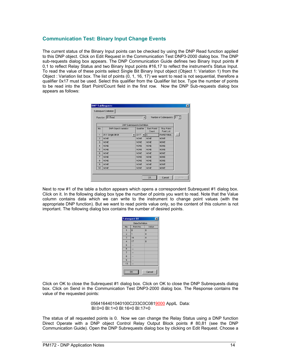### <span id="page-13-0"></span>**Communication Test: Binary Input Change Events**

The current status of the Binary Input points can be checked by using the DNP Read function applied to this DNP object. Click on Edit Request in the Communication Test DNP3-2000 dialog box. The DNP sub-requests dialog box appears. The DNP Communication Guide defines two Binary Input points # 0,1 to reflect Relay Status and two Binary Input points #16,17 to reflect the instrument's Status Input. To read the value of these points select Single Bit Binary Input object (Object 1: Variation 1) from the Object : Variation list box. The list of points (0, 1, 16, 17) we want to read is not sequential, therefore a qualifier 0x17 must be used. Select this qualifier from the Qualifier list box. Type the number of points to be read into the Start Point/Count field in the first row. Now the DNP Sub-requests dialog box appears as follows:

|                | Function: 01 Read     |                          | $\blacktriangledown$              |                       | Number of Subrequests: 1 - |        |
|----------------|-----------------------|--------------------------|-----------------------------------|-----------------------|----------------------------|--------|
|                |                       |                          | <b>DNP Subrequests Definition</b> |                       |                            |        |
| No.            | DNP Object: Variation |                          | Qualifier                         | Start Point/<br>Count | Stop Point/<br>Point List  |        |
| 1              | 01:1 Single Bit BI    | $\overline{\phantom{a}}$ | $0x17 - 14$                       |                       | Point&Value.               | $\sim$ |
| $\overline{2}$ | <b>NONE</b>           |                          | <b>NONE</b>                       | <b>NONE</b>           | <b>NONE</b>                |        |
| 3              | <b>NONE</b>           |                          | <b>NONE</b>                       | <b>NONE</b>           | <b>NONE</b>                |        |
| $\overline{4}$ | <b>NONE</b>           |                          | <b>NONE</b>                       | <b>NONE</b>           | <b>NONE</b>                |        |
| 5              | <b>NONE</b>           |                          | <b>NONE</b>                       | <b>NONE</b>           | <b>NONE</b>                |        |
| $\overline{a}$ | <b>NONE</b>           |                          | <b>NONE</b>                       | <b>NONE</b>           | <b>NONE</b>                |        |
| 7              | <b>NONE</b>           |                          | <b>NONE</b>                       | <b>NONE</b>           | <b>NONE</b>                |        |
| 8              | <b>NONE</b>           |                          | <b>NONE</b>                       | <b>NONE</b>           | <b>NONE</b>                |        |
| 9              | <b>NONE</b>           |                          | <b>NONE</b>                       | <b>NONE</b>           | <b>NONE</b>                |        |
| 10             | <b>NONE</b>           |                          | <b>NONE</b>                       | <b>NONE</b>           | <b>NONE</b>                |        |

Next to row #1 of the table a button appears which opens a correspondent Subrequest #1 dialog box. Click on it. In the following dialog box type the number of points you want to read. Note that the Value column contains data which we can write to the instrument to change point values (with the appropriate DNP function). But we want to read points value only, so the content of this column is not important. The following dialog box contains the number of desired points.

|                                                   | Subrequest #1          |                |
|---------------------------------------------------|------------------------|----------------|
|                                                   | <b>Data Definition</b> |                |
| No.                                               | Point No.              | Value          |
| 1                                                 | $\overline{0}$         | $\overline{0}$ |
| $\overline{2}$                                    | 1                      | $\overline{0}$ |
| 3                                                 | 16                     | $\overline{0}$ |
| $\overline{4}$                                    | 17                     | 0              |
| 5                                                 |                        |                |
| 6                                                 |                        |                |
| $\overline{7}$                                    |                        |                |
| 8                                                 |                        |                |
| $\overline{9}$                                    |                        |                |
| 10                                                |                        |                |
| $\overline{\overline{\phantom{a}}\phantom{a}}$ ok |                        | Cancel         |

Click on OK to close the Subrequest #1 dialog box. Click on OK to close the DNP Subrequests dialog box. Click on Send in the Communication Test DNP3-2000 dialog box. The Response contains the value of the requested points:

> 0564164401040100C233C0C0819000 ApplL Data: BI:0=0 BI:1=0 BI:16=0 BI:17=0

The status of all requested points is 0. Now we can change the Relay Status using a DNP function Direct Operate with a DNP object Control Relay Output Block points # 80,81 (see the DNP Communication Guide). Open the DNP Subrequests dialog box by clicking on Edit Request. Choose a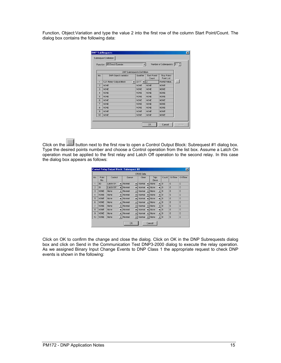Function, Object:Variation and type the value 2 into the first row of the column Start Point/Count. The dialog box contains the following data:

|                | Subrequest Definition                           |                             |                       |                            |        |
|----------------|-------------------------------------------------|-----------------------------|-----------------------|----------------------------|--------|
|                | Function: 05 Direct Operate                     | $\blacktriangledown$        |                       | Number of Subrequests: 1 - |        |
|                | DNP Subrequests Definition                      |                             |                       |                            |        |
| No.            | DNP Object: Variation                           | Qualifier                   | Start Point/<br>Count | Stop Point/<br>Point List  |        |
| 1              | 12:1 Relay Output Block<br>$\blacktriangledown$ | $0x17$ $\blacktriangledown$ | $\overline{2}$        | Point&Value.               | $\sim$ |
| $\overline{2}$ | <b>NONE</b>                                     | <b>NONE</b>                 | <b>NONE</b>           | <b>NONE</b>                |        |
| 3              | <b>NONE</b>                                     | <b>NONE</b>                 | <b>NONE</b>           | <b>NONE</b>                |        |
| 4              | <b>NONE</b>                                     | <b>NONE</b>                 | <b>NONE</b>           | <b>NONE</b>                |        |
| 5              | <b>NONE</b>                                     | <b>NONE</b>                 | <b>NONE</b>           | <b>NONE</b>                |        |
| 6              | <b>NONE</b>                                     | <b>NONE</b>                 | <b>NONE</b>           | <b>NONE</b>                |        |
| $\overline{7}$ | <b>NONE</b>                                     | <b>NONE</b>                 | <b>NONE</b>           | <b>NONE</b>                |        |
| 8              | <b>NONE</b>                                     | <b>NONE</b>                 | <b>NONE</b>           | <b>NONE</b>                |        |
| 9              | <b>NONE</b>                                     | <b>NONE</b>                 | <b>NONE</b>           | <b>NONE</b>                |        |
| 10             | <b>NONE</b>                                     | <b>NONE</b>                 | <b>NONE</b>           | <b>NONE</b>                |        |
|                |                                                 |                             |                       |                            |        |

Click on the **button next to the first row to open a Control Output Block: Subrequest #1 dialog box.** Type the desired points number and choose a Control operation from the list box. Assume a Latch On operation must be applied to the first relay and Latch Off operation to the second relay. In this case the dialog box appears as follows:

|                |              | <b>Control Relay Output Block: Subrequest #1</b> |                          |           |                          |           |   |                                  |          |                | $\vert x \vert$ |
|----------------|--------------|--------------------------------------------------|--------------------------|-----------|--------------------------|-----------|---|----------------------------------|----------|----------------|-----------------|
|                |              |                                                  |                          |           |                          | CROB Data |   |                                  |          |                |                 |
| No.            | Point<br>No. | Control                                          |                          | Queue     |                          | Clear     |   | Trip\<br>Close                   | Count    | OnTime         | OffTime         |
| 1              | 80           | Latch On                                         | $\overline{\phantom{a}}$ | Normal    | $\overline{\phantom{a}}$ | Normal    |   | None<br>$\overline{\phantom{a}}$ | $\theta$ | $\Omega$       | $\theta$        |
| $\overline{2}$ | 81           | Latch Off                                        | $\overline{\phantom{a}}$ | Normal    |                          | Normal    |   | None<br>$\overline{\phantom{0}}$ | $\theta$ | $\overline{0}$ | $\overline{0}$  |
| 3              | <b>NONE</b>  | None                                             | $\overline{\phantom{0}}$ | Normal    | ▼                        | Normal    |   | $\overline{\phantom{a}}$<br>None | $\Omega$ | $\Omega$       | $\theta$        |
| $\overline{4}$ | <b>NONE</b>  | None                                             | $\overline{\phantom{a}}$ | Normal    |                          | Normal    |   | $\overline{\phantom{a}}$<br>None | $\theta$ | $\overline{0}$ | $\overline{0}$  |
| 5              | <b>NONE</b>  | None                                             | $\overline{\phantom{a}}$ | Normal    |                          | Normal    |   | $\overline{\phantom{a}}$<br>None | $\Omega$ | $\Omega$       | $\Omega$        |
| 6              | <b>NONE</b>  | None                                             |                          | Normal    |                          | Normal    |   | $\overline{\phantom{a}}$<br>None | $\theta$ | $\overline{0}$ | $\overline{0}$  |
| 7              | <b>NONE</b>  | None                                             | $\overline{\phantom{0}}$ | Normal    | ▼                        | Normal    |   | $\overline{\phantom{a}}$<br>None | $\Omega$ | $\Omega$       | $\Omega$        |
| 8              | <b>NONE</b>  | None                                             | $\overline{\phantom{a}}$ | Normal    |                          | Normal    |   | $\overline{\phantom{a}}$<br>None | $\theta$ | $\overline{0}$ | $\overline{0}$  |
| $\overline{a}$ | <b>NONE</b>  | None                                             | $\overline{\phantom{a}}$ | Normal    |                          | Normal    | - | $\overline{\phantom{0}}$<br>None | $\Omega$ | $\Omega$       | $\Omega$        |
| 10             | <b>NONE</b>  | None                                             | $\overline{\phantom{a}}$ | Normal    | $\overline{\mathbf{v}}$  | Normal    |   | None<br>$\overline{\phantom{0}}$ | 0        | 0              | $\overline{0}$  |
|                |              |                                                  |                          | <b>OK</b> |                          |           |   | Cancel                           |          |                |                 |

Click on OK to confirm the change and close the dialog. Click on OK in the DNP Subrequests dialog box and click on Send in the Communication Test DNP3-2000 dialog to execute the relay operation. As we assigned Binary Input Change Events to DNP Class 1 the appropriate request to check DNP events is shown in the following: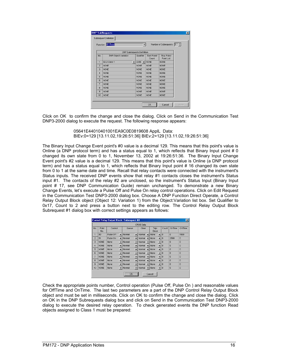|                | Function: 01 Read     |                | $\blacktriangledown$               |                       | Number of Subrequests: 1 - |  |
|----------------|-----------------------|----------------|------------------------------------|-----------------------|----------------------------|--|
|                |                       |                | DNP Subrequests Definition         |                       |                            |  |
| No.            | DNP Object: Variation |                | Qualifier                          | Start Point/<br>Count | Stop Point/<br>Point List  |  |
| 1              | 60:2 Class 1          | $\blacksquare$ | $0 \times 06$ $\blacktriangledown$ | <b>NONE</b>           | <b>NONE</b>                |  |
| $\overline{2}$ | <b>NONE</b>           |                | <b>NONE</b>                        | <b>NONE</b>           | <b>NONE</b>                |  |
| 3              | <b>NONE</b>           |                | <b>NONE</b>                        | <b>NONE</b>           | <b>NONE</b>                |  |
| 4              | <b>NONE</b>           |                | <b>NONE</b>                        | <b>NONE</b>           | <b>NONE</b>                |  |
| 5              | <b>NONE</b>           |                | <b>NONE</b>                        | <b>NONE</b>           | <b>NONE</b>                |  |
| 6              | <b>NONE</b>           |                | <b>NONE</b>                        | <b>NONE</b>           | <b>NONE</b>                |  |
| $\overline{7}$ | <b>NONE</b>           |                | <b>NONE</b>                        | <b>NONE</b>           | <b>NONE</b>                |  |
| 8              | <b>NONE</b>           |                | <b>NONE</b>                        | <b>NONE</b>           | <b>NONE</b>                |  |
| 9              | <b>NONE</b>           |                | <b>NONE</b>                        | <b>NONE</b>           | <b>NONE</b>                |  |
| 10             | <b>NONE</b>           |                | <b>NONE</b>                        | <b>NONE</b>           | <b>NONE</b>                |  |

Click on OK to confirm the change and close the dialog. Click on Send in the Communication Test DNP3-2000 dialog to execute the request. The following response appears:

> 05641E44010401001EA9C0E0819608 ApplL Data: BIEv:0=129 [13.11.02,19:26:51:36] BIEv:2=129 [13.11.02,19:26:51:36]

The Binary Input Change Event point's #0 value is a decimal 129. This means that this point's value is Online (a DNP protocol term) and has a status equal to 1, which reflects that Binary Input point # 0 changed its own state from 0 to 1, November 13, 2002 at 19:26:51:36. The Binary Input Change Event point's #2 value is a decimal 129. This means that this point's value is Online (a DNP protocol term) and has a status equal to 1, which reflects that Binary Input point # 16 changed its own state from 0 to 1 at the same date and time. Recall that relay contacts were connected with the instrument's Status inputs. The received DNP events show that relay #1 contacts closes the instrument's Status input #1. The contacts of the relay #2 are unclosed, so the instrument's Status Input (Binary Input point # 17, see DNP Communication Guide) remain unchanged. To demonstrate a new Binary Change Events, let's execute a Pulse Off and Pulse On relay control operations. Click on Edit Request in the Communication Test DNP3-2000 dialog box. Choose A DNP Function Direct Operate, a Control Relay Output Block object (Object 12: Variation 1) from the Object:Variation list box. Set Qualifier to 0x17, Count to 2 and press a button next to the editing row. The Control Relay Output Block Subrequest #1 dialog box with correct settings appears as follows:

|                |              | <b>Control Relay Output Block: Subrequest #1</b> |                          |                                                                                                                                                                                                                                      |                          |                  |                          |                |                          |          |                | $\vert x \vert$ |
|----------------|--------------|--------------------------------------------------|--------------------------|--------------------------------------------------------------------------------------------------------------------------------------------------------------------------------------------------------------------------------------|--------------------------|------------------|--------------------------|----------------|--------------------------|----------|----------------|-----------------|
|                |              |                                                  |                          |                                                                                                                                                                                                                                      |                          | <b>CROB</b> Data |                          |                |                          |          |                |                 |
| No.            | Point<br>No. | Control                                          |                          | Queue                                                                                                                                                                                                                                |                          | Clear            |                          | Trip\<br>Close |                          | Count    | OnTime         | OffTime         |
| 1              | 80           | Pulse Off                                        | $\overline{\phantom{a}}$ | Normal                                                                                                                                                                                                                               | ▼                        | Normal           |                          | None           | $\overline{\phantom{a}}$ | $\Omega$ | $\theta$       | 1500            |
| $\overline{2}$ | 81           | Pulse On                                         | $\overline{\phantom{a}}$ | Normal                                                                                                                                                                                                                               |                          | Normal           |                          | None           | $\overline{\phantom{0}}$ | 0        | 2500           | 0               |
| 3              | <b>NONE</b>  | None                                             | $\overline{\phantom{0}}$ | Normal                                                                                                                                                                                                                               |                          | Normal           |                          | None           | $\overline{\phantom{0}}$ | $\Omega$ | $\Omega$       | $\theta$        |
| $\overline{4}$ | <b>NONE</b>  | None                                             |                          | Normal                                                                                                                                                                                                                               |                          | Normal           |                          | None           | $\overline{\phantom{a}}$ | $\theta$ | $\overline{0}$ | 0               |
| 5              | <b>NONE</b>  | None                                             | $\overline{\phantom{a}}$ | Normal                                                                                                                                                                                                                               |                          | Normal           |                          | None           | $\overline{\phantom{0}}$ | $\Omega$ | $\Omega$       | $\Omega$        |
| 6              | <b>NONE</b>  | None                                             |                          | Normal                                                                                                                                                                                                                               |                          | Normal           |                          | None           | $\overline{\phantom{a}}$ | $\theta$ | $\overline{0}$ | $\overline{0}$  |
| 7              | <b>NONE</b>  | <b>None</b>                                      |                          | Normal                                                                                                                                                                                                                               |                          | Normal           | ▼                        | None           | $\overline{\phantom{a}}$ | $\Omega$ | $\Omega$       | $\Omega$        |
| 8              | <b>NONE</b>  | None                                             |                          | Normal                                                                                                                                                                                                                               |                          | Normal           |                          | None           | $\overline{\phantom{a}}$ | 0        | $\overline{0}$ | $\overline{0}$  |
| 9              | <b>NONE</b>  | None                                             |                          | Normal                                                                                                                                                                                                                               |                          | Normal           |                          | None           |                          | $\theta$ | $\Omega$       | $\Omega$        |
| 10             | <b>NONE</b>  | None                                             | $\overline{\phantom{0}}$ | Normal                                                                                                                                                                                                                               | $\overline{\phantom{a}}$ | Normal           | $\overline{\phantom{0}}$ | None           | $\mathbf{v}$ 0           |          | $\bf{0}$       | $\bf{0}$        |
|                |              |                                                  |                          | <u> Linning – Linning – Linning – Linning – Linning – Linning – Linning – Linning – Linning – Linning – Linning – Linning – Linning – Linning – Linning – Linning – Linning – Linning – Linning – Linning – Linning – Linning – </u> |                          |                  |                          | Cancel         |                          |          |                |                 |

Check the appropriate points number, Control operation (Pulse Off, Pulse On ) and reasonable values for OffTime and OnTime. The last two parameters are a part of the DNP Control Relay Output Block object and must be set in milliseconds. Click on OK to confirm the change and close the dialog. Click on OK in the DNP Subrequests dialog box and click on Send in the Communication Test DNP3-2000 dialog to execute the desired relay operation. To check generated events the DNP function Read objects assigned to Class 1 must be prepared: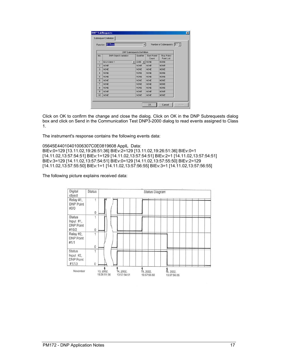|                | Function: 01 Read          |                      | $\blacktriangledown$               |                       | Number of Subrequests: 1 - |  |
|----------------|----------------------------|----------------------|------------------------------------|-----------------------|----------------------------|--|
|                | DNP Subrequests Definition |                      |                                    |                       |                            |  |
| No.            | DNP Object: Variation      |                      | Qualifier                          | Start Point/<br>Count | Stop Point/<br>Point List  |  |
| 1              | 60:2 Class 1               | $\blacktriangledown$ | $0 \times 06$ $\blacktriangledown$ | <b>NONE</b>           | <b>NONE</b>                |  |
| $\overline{2}$ | <b>NONE</b>                |                      | <b>NONE</b>                        | <b>NONE</b>           | <b>NONE</b>                |  |
| 3              | <b>NONE</b>                |                      | <b>NONE</b>                        | <b>NONE</b>           | <b>NONE</b>                |  |
| 4              | <b>NONE</b>                |                      | <b>NONE</b>                        | <b>NONE</b>           | <b>NONE</b>                |  |
| 5              | <b>NONE</b>                |                      | <b>NONE</b>                        | <b>NONE</b>           | <b>NONE</b>                |  |
| $\overline{a}$ | <b>NONE</b>                |                      | <b>NONE</b>                        | <b>NONE</b>           | <b>NONE</b>                |  |
| $\overline{7}$ | <b>NONE</b>                |                      | <b>NONE</b>                        | <b>NONE</b>           | <b>NONE</b>                |  |
| 8              | <b>NONE</b>                |                      | <b>NONE</b>                        | <b>NONE</b>           | <b>NONE</b>                |  |
| 9              | <b>NONE</b>                |                      | <b>NONE</b>                        | <b>NONE</b>           | <b>NONE</b>                |  |
| 10             | <b>NONE</b>                |                      | <b>NONE</b>                        | <b>NONE</b>           | <b>NONE</b>                |  |
|                |                            |                      |                                    |                       |                            |  |

Click on OK to confirm the change and close the dialog. Click on OK in the DNP Subrequests dialog box and click on Send in the Communication Test DNP3-2000 dialog to read events assigned to Class 1.

The instrument's response contains the following events data:

05645E44010401006307C0E0819608 ApplL Data: BIEv:0=129 [13.11.02,19:26:51:36] BIEv:2=129 [13.11.02,19:26:51:36] BIEv:0=1 [14.11.02,13:57:54:51] BIEv:1=129 [14.11.02,13:57:54:51] BIEv:2=1 [14.11.02,13:57:54:51] BIEv:3=129 [14.11.02,13:57:54:51] BIEv:0=129 [14.11.02,13:57:55:50] BIEv:2=129 [14.11.02,13:57:55:50] BIEv:1=1 [14.11.02,13:57:56:55] BIEv:3=1 [14.11.02,13:57:56:55]

The following picture explains received data:

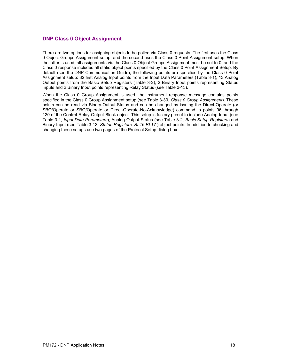### <span id="page-17-0"></span>**DNP Class 0 Object Assignment**

There are two options for assigning objects to be polled via Class 0 requests. The first uses the Class 0 Object Groups Assignment setup, and the second uses the Class 0 Point Assignment setup. When the latter is used, all assignments via the Class 0 Object Groups Assignment must be set to 0, and the Class 0 response includes all static object points specified by the Class 0 Point Assignment Setup. By default (see the DNP Communication Guide), the following points are specified by the Class 0 Point Assignment setup: 32 first Analog Input points from the Input Data Parameters (Table 3-1), 13 Analog Output points from the Basic Setup Registers (Table 3-2), 2 Binary Input points representing Status Inputs and 2 Binary Input points representing Relay Status (see Table 3-13).

When the Class 0 Group Assignment is used, the instrument response message contains points specified in the Class 0 Group Assignment setup (see Table 3-30, *Class 0 Group Assignment*). These points can be read via Binary-Output-Status and can be changed by issuing the Direct-Operate (or SBO/Operate or SBO/Operate or Direct-Operate-No-Acknowledge) command to points 96 through 120 of the Control-Relay-Output-Block object. This setup is factory preset to include Analog-Input (see Table 3-1, *Input Data Parameters*), Analog-Output-Status (see Table 3-2, *Basic Setup Registers*) and Binary-Input (see Table 3-13, *Status Registers, BI:16-BI:17* ) object points. In addition to checking and changing these setups use two pages of the Protocol Setup dialog box.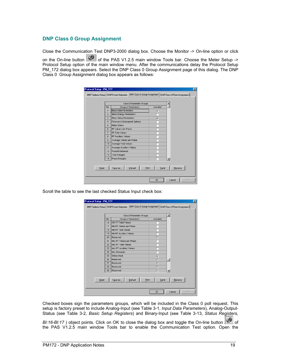#### <span id="page-18-0"></span>**DNP Class 0 Group Assignment**

Close the Communication Test DNP3-2000 dialog box. Choose the Monitor -> On-line option or click on the On-line button  $\left|\bigoplus_{k=1}^{\infty}$  of the PAS V1.2.5 main window Tools bar. Choose the Meter Setup -> Protocol Setup option of the main window menu. After the communications delay the Protocol Setup PM\_172 dialog box appears. Select the DNP Class 0 Group Assignment page of this dialog. The DNP Class 0 Group Assignment dialog box appears as follows:

| No.            | Group of Parameters            | Included |  |
|----------------|--------------------------------|----------|--|
|                |                                |          |  |
| 1              | <b>Basic Data Parameters</b>   | ⊽        |  |
| $\overline{2}$ | <b>Basic Energy Parameters</b> |          |  |
| 3              | <b>Basic Setup Parameters</b>  | ⊽        |  |
| $\overline{4}$ | Firmware & Instrument Options  |          |  |
| 5              | Relay Status                   |          |  |
| 6              | RT Values per Phase            |          |  |
| $\overline{7}$ | RT Total Values                |          |  |
| 8              | RT Auxiliary Values            |          |  |
| $\overline{a}$ | Average Values per Phase       |          |  |
| 10             | Average Total Values           |          |  |
| 11             | Average Auxiliary Values       |          |  |
| 12             | Present Demands                |          |  |
| 13             | <b>Total Energies</b>          |          |  |
| 14             | Phase Energies                 |          |  |

Scroll the table to see the last checked Status Input check box:

| Protocol Setup - PM_172                 |     |                             |           | $\vert x \vert$                                             |
|-----------------------------------------|-----|-----------------------------|-----------|-------------------------------------------------------------|
| DNP Options Setup   DNP Event Setpoints |     |                             |           | DNP Class 0 Group Assignment   DNP Class 0 Point Assignment |
|                                         |     |                             |           |                                                             |
|                                         |     | Class 0 Parameter Groups    |           |                                                             |
|                                         | No. | Group of Parameters         | Included  |                                                             |
|                                         | 16  | H01 RT Total Values         |           |                                                             |
|                                         | 17  | Min RT Values per Phase     |           |                                                             |
|                                         | 18  | Min RT Total Values         |           |                                                             |
|                                         | 19  | Min RT Auxiliary Values     |           |                                                             |
|                                         | 20  | Reserved                    |           |                                                             |
|                                         | 21  | Max RT Values per Phase     |           |                                                             |
|                                         | 22  | Max RT Total Values         |           |                                                             |
|                                         | 23  | Max RT Auxiliary Values     |           |                                                             |
|                                         | 24  | Max Demands                 |           |                                                             |
|                                         | 25  | Status Input                | ⊽         |                                                             |
|                                         | 26  | Reserved                    |           |                                                             |
|                                         | 27  | Reserved                    |           |                                                             |
|                                         | 28  | Reserved                    |           |                                                             |
|                                         | 29  | Reserved                    |           |                                                             |
|                                         |     |                             |           |                                                             |
| $0$ pen                                 |     | Default<br>Print<br>Save as | Send      | Receive                                                     |
|                                         |     |                             |           |                                                             |
|                                         |     |                             |           |                                                             |
|                                         |     |                             |           |                                                             |
|                                         |     |                             | <b>OK</b> | Cancel<br>Apply                                             |

Checked boxes sign the parameters groups, which will be included in the Class 0 poll request. This setup is factory preset to include Analog-Input (see Table 3-1, *Input Data Parameters*), Analog-Output-Status (see Table 3-2, *Basic Setup Registers*) and Binary-Input (see Table 3-13, *Status Registers,* 

*BI:16-BI:17* ) object points. Click on OK to close the dialog box and toggle the On-line button  $\circled{3}$  of the PAS V1.2.5 main window Tools bar to enable the Communication Test option. Open the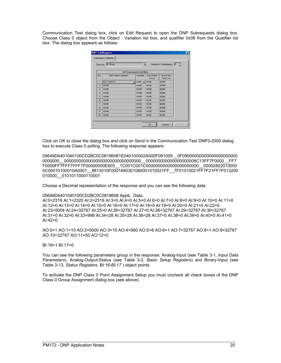Communication Test dialog box, click on Edit Request to open the DNP Subrequests dialog box. Choose Class 0 object from the Object : Variation list box, and qualifier 0x06 from the Qualifier list box. The dialog box appears as follows:

|                | Function: 01 Read                 |   | $\blacktriangledown$               |                       | Number of Subrequests: 1  |  |
|----------------|-----------------------------------|---|------------------------------------|-----------------------|---------------------------|--|
|                | <b>DNP Subrequests Definition</b> |   |                                    |                       |                           |  |
| No.            | DNP Object: Variation             |   | Qualifier                          | Start Point/<br>Count | Stop Point/<br>Point List |  |
| 1              | 60:1 Class 0                      | ▼ | $0 \times 06$ $\blacktriangledown$ | <b>NONE</b>           | <b>NONE</b>               |  |
| $\overline{2}$ | <b>NONE</b>                       |   | <b>NONE</b>                        | <b>NONE</b>           | <b>NONE</b>               |  |
| 3              | <b>NONE</b>                       |   | <b>NONE</b>                        | <b>NONE</b>           | <b>NONE</b>               |  |
| 4              | <b>NONE</b>                       |   | <b>NONE</b>                        | <b>NONE</b>           | <b>NONE</b>               |  |
| 5              | <b>NONE</b>                       |   | <b>NONE</b>                        | <b>NONE</b>           | <b>NONE</b>               |  |
| ĥ.             | <b>NONE</b>                       |   | <b>NONE</b>                        | <b>NONE</b>           | <b>NONE</b>               |  |
| 7              | <b>NONE</b>                       |   | <b>NONE</b>                        | <b>NONE</b>           | <b>NONE</b>               |  |
| 8              | <b>NONE</b>                       |   | <b>NONE</b>                        | <b>NONE</b>           | <b>NONE</b>               |  |
| 9              | <b>NONE</b>                       |   | <b>NONE</b>                        | <b>NONE</b>           | <b>NONE</b>               |  |
| 10             | <b>NONE</b>                       |   | <b>NONE</b>                        | <b>NONE</b>           | <b>NONE</b>               |  |

Click on OK to close the dialog box and click on Send in the Communication Test DNP3-2000 dialog box to execute Class 0 polling. The following response appears:

05649D4401040100CD2BC0C08196081E040100002A000F091009\_\_0F0900000000000000000000000 0000000\_\_00000000000000000000000000000000\_\_000000000000000000008C13FF7F0000\_\_FF7 F0000FF7FFF7FFF7F00000000E603\_\_1C001C001C0000000000000000000000\_\_00002802010000 0C00010100010A0001 8813010F0001840301080001010021FF 7F01010021FF7F21FF7F013200 010000\_\_0101011000110001

Choose a Decimal representation of the response and you can see the following data:

#### 05649D4401040100CD2BC0C0819608 ApplL Data:

AI:0=2319 AI:1=2320 AI:2=2319 AI:3=0 AI:4=0 AI:5=0 AI:6=0 AI:7=0 AI:8=0 AI:9=0 AI:10=0 AI:11=0 AI:12=0 AI:13=0 AI:14=0 AI:15=0 AI:16=0 AI:17=0 AI:18=0 AI:19=0 AI:20=0 AI:21=0 AI:22=0 AI:23=5004 AI:24=32767 AI:25=0 AI:26=32767 AI:27=0 AI:28=32767 AI:29=32767 AI:30=32767 AI:31=0 AI:32=0 AI:33=998 AI:34=28 AI:35=28 AI:36=28 AI:37=0 AI:38=0 AI:39=0 AI:40=0 AI:41=0 AI:42=0

AO:0=1 AO:1=10 AO:2=5000 AO:3=15 AO:4=900 AO:5=8 AO:6=1 AO:7=32767 AO:8=1 AO:9=32767 AO:10=32767 AO:11=50 AO:12=0

#### BI:16=1 BI:17=0

You can see the following parameters group in the response: Analog-Input (see Table 3-1, *Input Data Parameters*), Analog-Output-Status (see Table 3-2, *Basic Setup Registers*) and Binary-Input (see Table 3-13, *Status Registers, BI:16-BI:17* ) object points.

To activate the DNP Class 0 Point Assignment Setup you must uncheck all check boxes of the DNP Class 0 Group Assignment dialog box (see above).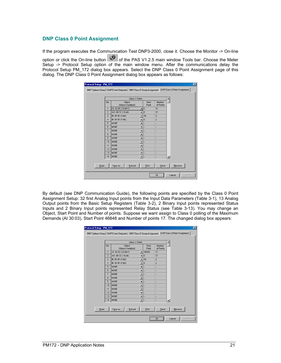#### <span id="page-20-0"></span>**DNP Class 0 Point Assignment**

If the program executes the Communication Test DNP3-2000, close it. Choose the Monitor -> On-line option or click the On-line button  $\left|\mathcal{Q}^{\bullet}\right|$  of the PAS V1.2.5 main window Tools bar. Choose the Meter Setup -> Protocol Setup option of the main window menu. After the communications delay the Protocol Setup PM\_172 dialog box appears. Select the DNP Class 0 Point Assignment page of this dialog. The DNP Class 0 Point Assignment dialog box appears as follows:

|      |                | Class 0 Points               |                          |                         |                     |                |
|------|----------------|------------------------------|--------------------------|-------------------------|---------------------|----------------|
|      | No.            | Object<br>[Object:Variation] |                          | Start<br>Point          | Number<br>of Points |                |
|      | $\mathbf{1}$   | AI 30:04 (16-bit-F)          | ٠                        | $\theta$                | 32                  |                |
|      | $\overline{2}$ | AO 40:02 (16-bit)            | $\overline{\phantom{a}}$ | $\theta$                | 13                  |                |
|      | 3              | BI 01:01 (1-bit)             |                          | $\blacktriangledown$ 16 | $\overline{a}$      |                |
|      | $\overline{4}$ | BI 01:01 (1-bit)             | $\overline{\phantom{a}}$ | $\theta$                | $\overline{a}$      |                |
|      | 5              | <b>NONE</b>                  | Y                        | ä,                      | ٠                   |                |
|      | 6              | <b>NONE</b>                  | $\overline{\phantom{0}}$ |                         | ۰                   |                |
|      | $\overline{7}$ | <b>NONE</b>                  | $\overline{\phantom{0}}$ |                         | ٠                   |                |
|      | 8              | <b>NONE</b>                  | $\overline{\phantom{a}}$ |                         | ×                   |                |
|      | 9              | <b>NONE</b>                  | T                        |                         | ٠                   |                |
|      | 10             | <b>NONE</b>                  | $\overline{\phantom{0}}$ |                         | ×                   |                |
|      | 11             | <b>NONE</b>                  | T                        |                         | ٠                   |                |
|      | 12             | <b>NONE</b>                  | $\overline{\phantom{0}}$ |                         | ×                   |                |
|      | 13             | <b>NONE</b>                  | v                        |                         | ٠                   |                |
|      | 14             | <b>NONE</b>                  | $\mathbf{v}$ .           |                         | ×.                  | $\blacksquare$ |
| Qpen |                | $D$ efault<br>Save as        |                          | Print                   | Send                | Receive        |

By default (see DNP Communication Guide), the following points are specified by the Class 0 Point Assignment Setup: 32 first Analog Input points from the Input Data Parameters (Table 3-1), 13 Analog Output points from the Basic Setup Registers (Table 3-2), 2 Binary Input points represented Status Inputs and 2 Binary Input points represented Relay Status (see Table 3-13). You may change an Object, Start Point and Number of points. Suppose we want assign to Class 0 polling of the Maximum Demands (AI 30:03), Start Point 46848 and Number of points 17. The changed dialog box appears:

|                |                              | Class 0 Points           |                |                     |              |
|----------------|------------------------------|--------------------------|----------------|---------------------|--------------|
| No.            | Object<br>[Object:Variation] |                          | Start<br>Point | Number<br>of Points |              |
| $\mathbf{1}$   | AI 30:03 (32-bit-F)          | $\overline{\phantom{a}}$ | 46848          | 17                  |              |
| $\overline{2}$ | AO 40:02 (16-bit)            |                          | $\theta$       | 13                  |              |
| 3              | BI 01:01 (1-bit)             | $\overline{\phantom{a}}$ | 16             | $\overline{2}$      |              |
| $\overline{4}$ | BI 01:01 (1-bit)             | $\overline{\phantom{a}}$ | $\theta$       | $\overline{2}$      |              |
| 5              | <b>NONE</b>                  | ▼                        |                | ×,                  |              |
| 6              | <b>NONE</b>                  | $\overline{\phantom{a}}$ |                | ٠                   |              |
| 7              | <b>NONE</b>                  | $\overline{\phantom{a}}$ |                | ÷                   |              |
| 8              | <b>NONE</b>                  | $\overline{\phantom{a}}$ |                | ۳                   |              |
| 9              | <b>NONE</b>                  | ۰                        |                | ÷                   |              |
| 10             | <b>NONE</b>                  | $\overline{\phantom{a}}$ |                | ÷,                  |              |
| 11             | <b>NONE</b>                  | $\overline{\phantom{a}}$ |                | ÷                   |              |
| 12             | <b>NONE</b>                  | $\overline{\phantom{0}}$ |                | ÷                   |              |
| 13             | <b>NONE</b>                  | $\overline{\phantom{a}}$ |                | ۰                   |              |
| 14             | <b>NONE</b>                  | $\overline{\phantom{a}}$ | ×,             | ä,                  | $\mathbf{r}$ |
|                |                              |                          |                |                     |              |